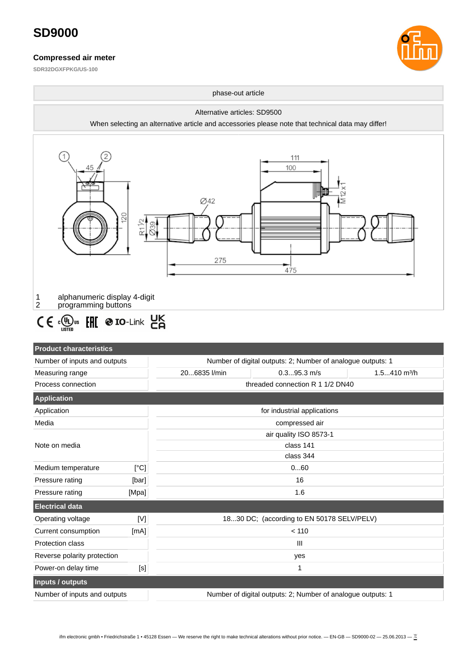#### **Compressed air meter**

**SDR32DGXFPKG/US-100**





Number of inputs and outputs  $\blacksquare$  Number of digital outputs: 2; Number of analogue outputs: 1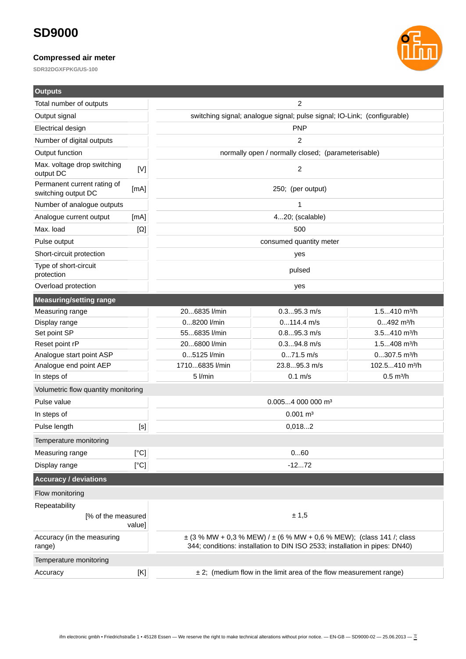### **Compressed air meter**

**SDR32DGXFPKG/US-100**



| <b>Outputs</b>                                     |                                                                                                                                                                                                          |                                                                                                                                                     |               |                          |  |  |
|----------------------------------------------------|----------------------------------------------------------------------------------------------------------------------------------------------------------------------------------------------------------|-----------------------------------------------------------------------------------------------------------------------------------------------------|---------------|--------------------------|--|--|
| Total number of outputs                            |                                                                                                                                                                                                          | 2                                                                                                                                                   |               |                          |  |  |
| Output signal                                      |                                                                                                                                                                                                          | switching signal; analogue signal; pulse signal; IO-Link; (configurable)                                                                            |               |                          |  |  |
| Electrical design                                  |                                                                                                                                                                                                          | <b>PNP</b>                                                                                                                                          |               |                          |  |  |
| Number of digital outputs                          |                                                                                                                                                                                                          | 2                                                                                                                                                   |               |                          |  |  |
| Output function                                    |                                                                                                                                                                                                          | normally open / normally closed; (parameterisable)                                                                                                  |               |                          |  |  |
| Max. voltage drop switching<br>output DC           | [V]                                                                                                                                                                                                      | $\overline{c}$                                                                                                                                      |               |                          |  |  |
| Permanent current rating of<br>switching output DC | [mA]                                                                                                                                                                                                     | 250; (per output)                                                                                                                                   |               |                          |  |  |
| Number of analogue outputs                         |                                                                                                                                                                                                          | $\mathbf{1}$                                                                                                                                        |               |                          |  |  |
| Analogue current output                            | [mA]                                                                                                                                                                                                     | 420; (scalable)                                                                                                                                     |               |                          |  |  |
| Max. load                                          | $[\Omega]$                                                                                                                                                                                               | 500                                                                                                                                                 |               |                          |  |  |
| Pulse output                                       |                                                                                                                                                                                                          | consumed quantity meter                                                                                                                             |               |                          |  |  |
| Short-circuit protection                           |                                                                                                                                                                                                          | yes                                                                                                                                                 |               |                          |  |  |
| Type of short-circuit<br>protection                |                                                                                                                                                                                                          | pulsed                                                                                                                                              |               |                          |  |  |
| Overload protection                                |                                                                                                                                                                                                          | yes                                                                                                                                                 |               |                          |  |  |
| <b>Measuring/setting range</b>                     |                                                                                                                                                                                                          |                                                                                                                                                     |               |                          |  |  |
| Measuring range                                    |                                                                                                                                                                                                          | 206835 l/min                                                                                                                                        | $0.395.3$ m/s | 1.5410 m <sup>3</sup> /h |  |  |
| Display range                                      |                                                                                                                                                                                                          | 08200 l/min                                                                                                                                         | $0114.4$ m/s  | $0492$ m <sup>3</sup> /h |  |  |
| Set point SP                                       |                                                                                                                                                                                                          | 556835 l/min                                                                                                                                        | $0.895.3$ m/s | 3.5410 m <sup>3</sup> /h |  |  |
| Reset point rP                                     |                                                                                                                                                                                                          | 206800 l/min                                                                                                                                        | $0.394.8$ m/s | 1.5408 m <sup>3</sup> /h |  |  |
| Analogue start point ASP                           |                                                                                                                                                                                                          | 05125 l/min<br>$071.5$ m/s<br>$0307.5$ m <sup>3</sup> /h                                                                                            |               |                          |  |  |
| Analogue end point AEP                             |                                                                                                                                                                                                          | 23.895.3 m/s<br>17106835 l/min<br>102.5410 m <sup>3</sup> /h                                                                                        |               |                          |  |  |
| In steps of                                        |                                                                                                                                                                                                          | 5 l/min                                                                                                                                             | $0.1$ m/s     | $0.5 \text{ m}^3/h$      |  |  |
| Volumetric flow quantity monitoring                |                                                                                                                                                                                                          |                                                                                                                                                     |               |                          |  |  |
| Pulse value                                        |                                                                                                                                                                                                          | $0.0054000000$ m <sup>3</sup>                                                                                                                       |               |                          |  |  |
| In steps of                                        |                                                                                                                                                                                                          | $0.001 \, \text{m}^3$                                                                                                                               |               |                          |  |  |
| Pulse length                                       | [S]                                                                                                                                                                                                      | 0,0182                                                                                                                                              |               |                          |  |  |
| Temperature monitoring                             |                                                                                                                                                                                                          |                                                                                                                                                     |               |                          |  |  |
| Measuring range                                    | [°C]                                                                                                                                                                                                     | 060                                                                                                                                                 |               |                          |  |  |
| Display range                                      | [°C]                                                                                                                                                                                                     | $-1272$                                                                                                                                             |               |                          |  |  |
| <b>Accuracy / deviations</b>                       |                                                                                                                                                                                                          |                                                                                                                                                     |               |                          |  |  |
| Flow monitoring                                    |                                                                                                                                                                                                          |                                                                                                                                                     |               |                          |  |  |
| Repeatability                                      |                                                                                                                                                                                                          |                                                                                                                                                     |               |                          |  |  |
| [% of the measured<br>value]                       |                                                                                                                                                                                                          | ± 1,5                                                                                                                                               |               |                          |  |  |
| Accuracy (in the measuring<br>range)               |                                                                                                                                                                                                          | ± (3 % MW + 0,3 % MEW) / ± (6 % MW + 0,6 % MEW); (class 141 /; class<br>344; conditions: installation to DIN ISO 2533; installation in pipes: DN40) |               |                          |  |  |
| Temperature monitoring                             |                                                                                                                                                                                                          |                                                                                                                                                     |               |                          |  |  |
| Accuracy                                           | $[K] % \begin{center} \includegraphics[width=\textwidth]{figures/cdf} \end{center} % \vspace*{-1em} \caption{The average number of parameters of the parameters in the left and right.} \label{fig:cdf}$ | ± 2; (medium flow in the limit area of the flow measurement range)                                                                                  |               |                          |  |  |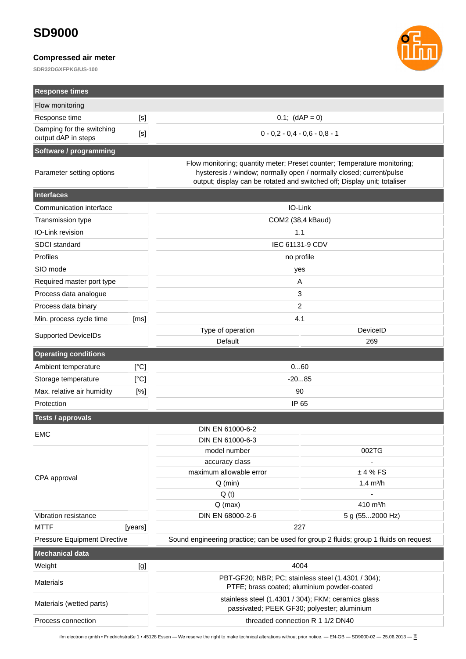#### **Compressed air meter**

**SDR32DGXFPKG/US-100**



| <b>Response times</b>                            |         |                                                                                                                                                                                                                             |                                  |  |
|--------------------------------------------------|---------|-----------------------------------------------------------------------------------------------------------------------------------------------------------------------------------------------------------------------------|----------------------------------|--|
| Flow monitoring                                  |         |                                                                                                                                                                                                                             |                                  |  |
| Response time                                    | $[<]$   | $0.1;$ (dAP = 0)                                                                                                                                                                                                            |                                  |  |
| Damping for the switching<br>output dAP in steps | [s]     | $0 - 0.2 - 0.4 - 0.6 - 0.8 - 1$                                                                                                                                                                                             |                                  |  |
| Software / programming                           |         |                                                                                                                                                                                                                             |                                  |  |
| Parameter setting options                        |         | Flow monitoring; quantity meter; Preset counter; Temperature monitoring;<br>hysteresis / window; normally open / normally closed; current/pulse<br>output; display can be rotated and switched off; Display unit; totaliser |                                  |  |
| <b>Interfaces</b>                                |         |                                                                                                                                                                                                                             |                                  |  |
| Communication interface                          |         | IO-Link                                                                                                                                                                                                                     |                                  |  |
| <b>Transmission type</b>                         |         | COM2 (38,4 kBaud)                                                                                                                                                                                                           |                                  |  |
| IO-Link revision                                 |         | 1.1                                                                                                                                                                                                                         |                                  |  |
| SDCI standard                                    |         | IEC 61131-9 CDV                                                                                                                                                                                                             |                                  |  |
| Profiles                                         |         | no profile                                                                                                                                                                                                                  |                                  |  |
| SIO mode                                         |         | yes                                                                                                                                                                                                                         |                                  |  |
| Required master port type                        |         | A                                                                                                                                                                                                                           |                                  |  |
| Process data analogue                            |         | 3                                                                                                                                                                                                                           |                                  |  |
| Process data binary                              |         | 2                                                                                                                                                                                                                           |                                  |  |
| Min. process cycle time                          | [ms]    |                                                                                                                                                                                                                             | 4.1                              |  |
| <b>Supported DeviceIDs</b>                       |         | Type of operation<br>Default                                                                                                                                                                                                | DeviceID<br>269                  |  |
| <b>Operating conditions</b>                      |         |                                                                                                                                                                                                                             |                                  |  |
| Ambient temperature                              | [°C]    | 060                                                                                                                                                                                                                         |                                  |  |
| Storage temperature                              | [°C]    | $-2085$                                                                                                                                                                                                                     |                                  |  |
| Max. relative air humidity                       | [%]     | 90                                                                                                                                                                                                                          |                                  |  |
| Protection                                       |         | IP 65                                                                                                                                                                                                                       |                                  |  |
| <b>Tests / approvals</b>                         |         |                                                                                                                                                                                                                             |                                  |  |
|                                                  |         | DIN EN 61000-6-2                                                                                                                                                                                                            |                                  |  |
| <b>EMC</b>                                       |         | DIN EN 61000-6-3                                                                                                                                                                                                            |                                  |  |
|                                                  |         | model number                                                                                                                                                                                                                | 002TG                            |  |
|                                                  |         | accuracy class                                                                                                                                                                                                              |                                  |  |
| CPA approval                                     |         | maximum allowable error                                                                                                                                                                                                     | ±4%FS                            |  |
|                                                  |         | $Q$ (min)<br>Q(t)                                                                                                                                                                                                           | $1,4$ m <sup>3</sup> /h          |  |
|                                                  |         | $Q$ (max)                                                                                                                                                                                                                   | 410 m <sup>3</sup> /h            |  |
| Vibration resistance                             |         | DIN EN 68000-2-6                                                                                                                                                                                                            | 5 g (552000 Hz)                  |  |
| <b>MTTF</b>                                      | [years] |                                                                                                                                                                                                                             | 227                              |  |
| Pressure Equipment Directive                     |         | Sound engineering practice; can be used for group 2 fluids; group 1 fluids on request                                                                                                                                       |                                  |  |
| <b>Mechanical data</b>                           |         |                                                                                                                                                                                                                             |                                  |  |
| Weight                                           | [g]     | 4004                                                                                                                                                                                                                        |                                  |  |
| <b>Materials</b>                                 |         | PBT-GF20; NBR; PC; stainless steel (1.4301 / 304);<br>PTFE; brass coated; aluminium powder-coated                                                                                                                           |                                  |  |
| Materials (wetted parts)                         |         | stainless steel (1.4301 / 304); FKM; ceramics glass<br>passivated; PEEK GF30; polyester; aluminium                                                                                                                          |                                  |  |
| Process connection                               |         |                                                                                                                                                                                                                             | threaded connection R 1 1/2 DN40 |  |